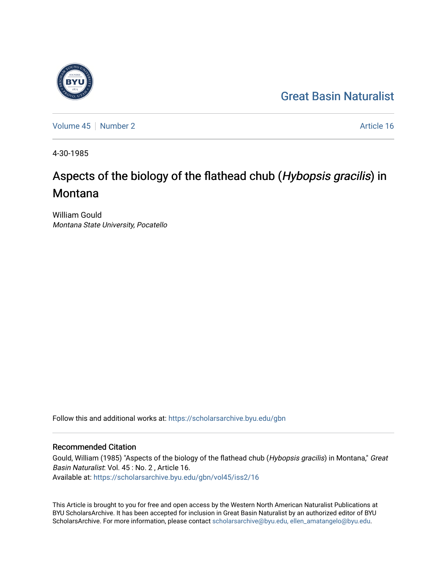## [Great Basin Naturalist](https://scholarsarchive.byu.edu/gbn)

[Volume 45](https://scholarsarchive.byu.edu/gbn/vol45) | [Number 2](https://scholarsarchive.byu.edu/gbn/vol45/iss2) Article 16

4-30-1985

# Aspects of the biology of the flathead chub (Hybopsis gracilis) in **Montana**

William Gould Montana State University, Pocatello

Follow this and additional works at: [https://scholarsarchive.byu.edu/gbn](https://scholarsarchive.byu.edu/gbn?utm_source=scholarsarchive.byu.edu%2Fgbn%2Fvol45%2Fiss2%2F16&utm_medium=PDF&utm_campaign=PDFCoverPages) 

### Recommended Citation

Gould, William (1985) "Aspects of the biology of the flathead chub (Hybopsis gracilis) in Montana," Great Basin Naturalist: Vol. 45 : No. 2 , Article 16. Available at: [https://scholarsarchive.byu.edu/gbn/vol45/iss2/16](https://scholarsarchive.byu.edu/gbn/vol45/iss2/16?utm_source=scholarsarchive.byu.edu%2Fgbn%2Fvol45%2Fiss2%2F16&utm_medium=PDF&utm_campaign=PDFCoverPages) 

This Article is brought to you for free and open access by the Western North American Naturalist Publications at BYU ScholarsArchive. It has been accepted for inclusion in Great Basin Naturalist by an authorized editor of BYU ScholarsArchive. For more information, please contact [scholarsarchive@byu.edu, ellen\\_amatangelo@byu.edu.](mailto:scholarsarchive@byu.edu,%20ellen_amatangelo@byu.edu)

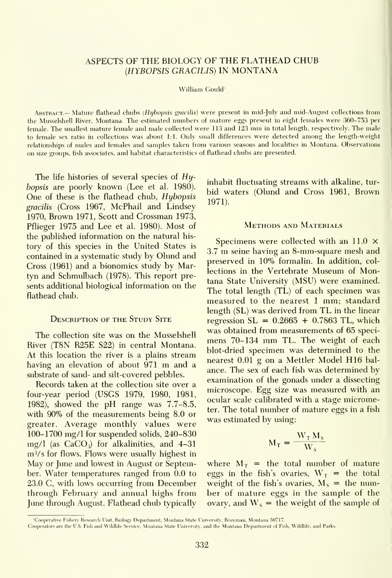#### ASPECTS OF THE BIOLOGY OF THE FLATHEAD CHUB {HYBOPSIS GRACILIS) IN MONTANA

#### William Gould'

ABSTRACT.- Mature flathead chubs (Hybopsis gracilis) were present in mid-July and mid-August collections from the Musselshell River, Montana. The estimated numbers of mature eggs present in eight females were 360-753 per female. The smallest mature female and male collected were <sup>113</sup> and <sup>123</sup> mm in total length, respectively. The male to female sex ratio in collections was about 1:1. Only small differences were detected among the length-weight relationships of males and females and samples taken from various seasons and localities in Montana. Observations on size groups, fish associates, and habitat characteristics of flathead chubs are presented.

The life histories of several species of Hyhopsis are poorly known (Lee et al. 1980). One of these is the flathead chub, Hybopsis gracilis (Cross 1967, McPhail and Lindsey 1970, Brown 1971, Scott and Crossman 1973, Pflieger 1975 and Lee et al. 1980). Most of the published information on the natural his tory of this species in the United States is contained in a systematic study by Olund and Cross (1961) and a bionomics study by Martyn and Schmulbach (1978). This report presents additional biological information on the flathead chub.

#### Description of the Study Site

The collection site was on the Musselshell River (T8N R25E S22) in central Montana. At this location the river is a plains stream having an elevation of about <sup>971</sup> m and <sup>a</sup> substrate of sand- and silt-covered pebbles.

Records taken at the collection site over a four-year period (USGS 1979, 1980, 1981, 1982), showed the pH range was 7.7-8.5, with 90% of the measurements being 8.0 or greater. Average monthly values were 100-1700 mg/1 for suspended solids, 240-830 mg/l (as  $CaCO<sub>3</sub>$ ) for alkalinities, and 4-31  $m<sup>3</sup>/s$  for flows. Flows were usually highest in May or June and lowest in August or September. Water temperatures ranged from 0.0 to 23.0 C, with lows occurring from December through February and annual highs from June through August. Flathead chub typically inhabit fluctuating streams with alkaline, tur bid waters (Olund and Cross 1961, Brown 1971).

#### Methods and Materials

Specimens were collected with an 11.0  $\times$ 3.7 m seine having an 8-mm-square mesh and preserved in 10% formalin. In addition, col lections in the Vertebrate Museum of Montana State University (MSU) were examined. The total length (TL) of each specimen was measured to the nearest <sup>1</sup> mm; standard length (SL) was derived from TL in the linear regression  $SL = 0.2665 + 0.7863$  TL, which was obtained from measurements of 65 speci mens 70-134 mm TL. The weight of each blot-dried specimen was determined to the nearest 0.01 g on <sup>a</sup> Mettler Model H16 bal ance. The sex of each fish was determined by examination of the gonads under a dissecting microscope. Egg size was measured with an ocular scale calibrated with a stage micrometer. The total number of mature eggs in a fish was estimated by using:

$$
M_T = \frac{W_T M_S}{W_S}
$$

where  $M_T$  = the total number of mature eggs in the fish's ovaries,  $W_T$  = the total weight of the fish's ovaries,  $M_s$  = the number of mature eggs in the sample of the ovary, and  $W_s$  = the weight of the sample of

<sup>&#</sup>x27;Cooperative Fishery Research Unit, Biology Department, Montana State University, Bozeman, Montana 59717.

Cooperators are the U.S. Fish and Wildlife Service, Montana State University, and the Montana Department of Fish, Wildlife, and Parks.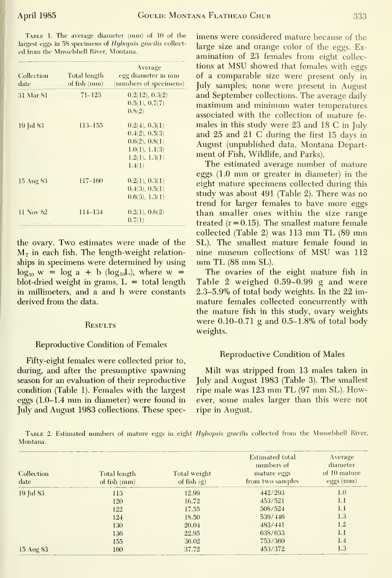| Collection<br>date | Total length<br>of fish (mm) | Average<br>egg diameter in mm<br>(numbers of specimens)                                          |
|--------------------|------------------------------|--------------------------------------------------------------------------------------------------|
| 31 Mar 81          | $71 - 123$                   | 0.2(12), 0.3(2)<br>0.5(1), 0.7(7)<br>0.8(2)                                                      |
| 19 Jul 83          | $113 - 155$                  | 0.2(4), 0.3(1)<br>0.4(2), 0.5(3)<br>0.6(2), 0.8(1)<br>1.0(1), 1.1(3)<br>1.2(1), 1.3(1)<br>1.4(1) |
| 15 Aug 83          | $117 - 160$                  | 0.2(1), 0.3(1)<br>0.4(3), 0.5(1)<br>0.6(3), 1.3(1)                                               |
| 11 Nov 82          | $114 - 134$                  | 0.2(1), 0.6(2)<br>0.7(1)                                                                         |

the ovary. Two estimates were made of the  $M<sub>r</sub>$  in each fish. The length-weight relationships in specimens were determined by using  $\log_{10} w = \log a + b$  ( $\log_{10} L$ ), where w = blot-dried weight in grams,  $L =$  total length in millimeters, and a and b were constants derived from the data.

#### **RESULTS**

#### **Reproductive Condition of Females**

Fifty-eight females were collected prior to, during, and after the presumptive spawning season for an evaluation of their reproductive condition (Table 1). Females with the largest eggs (1.0-1.4 mm in diameter) were found in July and August 1983 collections. These spec-

largest eggs in 58 specimens of Hybopsis gracilis collect-<br>large size and orange color of the eggs. Examination of 23 females from eight collections at MSU showed that females with eggs of a comparable size were present only in July samples; none were present in August and September collections. The average daily maximum and minimum water temperatures associated with the collection of mature females in this study were 23 and 18 C in July and 25 and 21 C during the first 15 days in August (unpublished data, Montana Department of Fish, Wildlife, and Parks).

> The estimated average number of mature eggs  $(1.0 \text{ mm})$  or greater in diameter) in the eight mature specimens collected during this study was about 491 (Table 2). There was no trend for larger females to have more eggs than smaller ones within the size range treated  $(r = 0.15)$ . The smallest mature female collected (Table 2) was 113 mm TL (89 mm SL). The smallest mature female found in nine museum collections of MSU was 112 mm TL (88 mm SL).

> The ovaries of the eight mature fish in Table 2 weighed 0.59-0.99 g and were 2.3-5.9% of total body weights. In the 22 immature females collected concurrently with the mature fish in this study, ovary weights were 0.10-0.71 g and 0.5-1.8% of total body weights.

#### **Reproductive Condition of Males**

Milt was stripped from 13 males taken in July and August 1983 (Table 3). The smallest ripe male was 123 mm TL (97 mm SL). However, some males larger than this were not ripe in August.

TABLE 2. Estimated numbers of mature eggs in eight Hybopsis gracilis collected from the Musselshell River, Montana.

| Collection<br>date | Total length<br>of fish (mm) | Total weight<br>of fish $(g)$ | <b>Estimated</b> total<br>numbers of<br>mature eggs<br>from two samples | Average<br>diameter<br>of 10 mature<br>$eggs$ (mm) |
|--------------------|------------------------------|-------------------------------|-------------------------------------------------------------------------|----------------------------------------------------|
| 19 Jul 83          | 113                          | 12.99                         | 442/293                                                                 | 1.0                                                |
|                    | 120                          | 16.72                         | 453/521                                                                 | 1.1                                                |
|                    | 122                          | 17.55                         | 508/524                                                                 | 1.1                                                |
|                    | 124                          | 18.50                         | 539/446                                                                 | 1.3                                                |
|                    | 130                          | 20.04                         | 483/441                                                                 | 1.2                                                |
|                    | 136                          | 22.95                         | 638/633                                                                 | 1.1                                                |
|                    | 155                          | 36.02                         | 753/360                                                                 | 1.4                                                |
| 15 Aug 83          | 160                          | 37.72                         | 453/372                                                                 | 1.3                                                |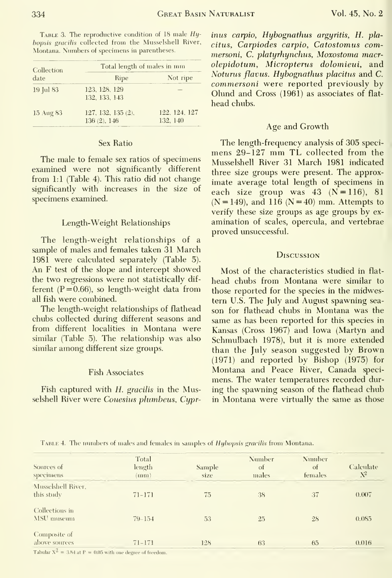TABLE 3. The reproductive condition of 18 male  $Hy$ -Montana. Numbers of specimens in parentheses.

| Collection<br>date | Total length of males in mm       |                           |  |  |  |  |
|--------------------|-----------------------------------|---------------------------|--|--|--|--|
|                    | Ripe                              | Not ripe                  |  |  |  |  |
| 19 Jul 83          | 123, 128, 129<br>132, 133, 143    |                           |  |  |  |  |
| 15 Aug 83          | 127, 132, 135 (2),<br>136(2), 146 | 122, 124, 127<br>132, 140 |  |  |  |  |

#### Sex Ratio

The male to female sex ratios of specimens examined were not significantly different from 1:1 (Table 4). This ratio did not change significantly with increases in the size of specimens examined.

#### Length-Weight Relationships

The length-weight relationships of a sample of males and females taken 31 March 1981 were calculated separately (Table 5). An F test of the slope and intercept showed the two regressions were not statistically different ( $P = 0.66$ ), so length-weight data from all fish were combined.

The length-weight relationships of flathead chubs collected during different seasons and from different localities in Montana were similar (Table 5). The relationship was also similar among different size groups.

#### **Fish Associates**

Fish captured with H. gracilis in the Musselshell River were Couesius plumbeus, Cypr-

inus carpio, Hybognathus argyritis, H. plabopsis gracilis collected from the Musselshell River, citus, Carpiodes carpio, Catostomus commersoni, C. platyrhynchus, Moxostoma macrolepidotum, Micropterus dolomieui, and Noturus flavus. Hybognathus placitus and C. commersoni were reported previously by Olund and Cross (1961) as associates of flathead chubs.

#### Age and Growth

The length-frequency analysis of 305 specimens 29-127 mm TL collected from the Musselshell River 31 March 1981 indicated three size groups were present. The approximate average total length of specimens in each size group was  $43 (N=116)$ , 81  $(N = 149)$ , and 116  $(N = 40)$  mm. Attempts to verify these size groups as age groups by examination of scales, opercula, and vertebrae proved unsuccessful.

#### **DISCUSSION**

Most of the characteristics studied in flathead chubs from Montana were similar to those reported for the species in the midwestern U.S. The July and August spawning season for flathead chubs in Montana was the same as has been reported for this species in Kansas (Cross 1967) and Iowa (Martyn and Schmulbach 1978), but it is more extended than the July season suggested by Brown  $(1971)$  and reported by Bishop  $(1975)$  for Montana and Peace River, Canada specimens. The water temperatures recorded during the spawning season of the flathead chub in Montana were virtually the same as those

| TABLE 4. The numbers of males and females in samples of <i>Hybopsis gracilis</i> from Montana |  |  |  |  |  |  |
|-----------------------------------------------------------------------------------------------|--|--|--|--|--|--|
|                                                                                               |  |  |  |  |  |  |

| Sources of<br>specimens                                      | Total<br>length<br>(nnm) | Sample<br>size | Number<br>of<br>males | Number<br>of<br>females | Calculate<br>$N^2$ |  |
|--------------------------------------------------------------|--------------------------|----------------|-----------------------|-------------------------|--------------------|--|
| Musselshell River,<br>this study                             | $71 - 171$               | 75             | 38                    | 37                      | 0.007              |  |
| Collections in<br>MSU museum                                 | $79 - 154$               | 53             | 25                    | 28                      | 0.085              |  |
| Composite of<br>above sources<br>$\sim$ $\sim$ $\sim$ $\sim$ | $71 - 171$               | 128            | 63                    | 65                      | 0.016              |  |

Tabular  $X^2 = 3.84$  at  $P = 0.05$  with one degree of freedom.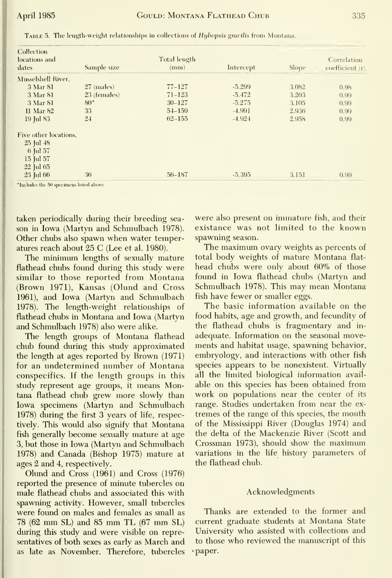| Collection<br>locations and<br>dates | Sample size  | Total length<br>(mm) | Intercept | <b>Slope</b> | Correlation<br>coefficient (r) |
|--------------------------------------|--------------|----------------------|-----------|--------------|--------------------------------|
| Musselshell River,                   |              |                      |           |              |                                |
| 3 Mar 81                             | $27$ (males) | $77 - 127$           | $-5.299$  | 3.082        | 0.98                           |
| 3 Mar 81                             | 23 (females) | $71 - 123$           | $-5.472$  | 3.203        | 0.99                           |
| 3 Mar 81                             | $80^{\circ}$ | $30 - 127$           | $-5.275$  | 3.105        | 0.99                           |
| 11 Mar 82                            | 33           | $54 - 159$           | $-4.991$  | 2.936        | (0.99)                         |
| 19 Jul 83                            | 24           | $62 - 155$           | $-4.924$  | 2.958        | 0.99                           |
| Five other locations.                |              |                      |           |              |                                |
| $25$ Jul $48$                        |              |                      |           |              |                                |
| 6 Jul 57                             |              |                      |           |              |                                |
| $15$ Jul $57$                        |              |                      |           |              |                                |
| 22 Jul 65                            |              |                      |           |              |                                |
| 23 Jul 66                            | 36           | 56-187               | $-5.395$  | 3.151        | 0.99                           |

TABLE 5. The length-weight relationships in collections of Hybopsis gracilis from Montana.

\*Includes the 50 specimens listed above

taken periodically during their breeding season in Iowa (Martyn and Schmulbach 1978). Other chubs also spawn when water temperatures reach about 25 C (Lee et al. 1980).

The minimum lengths of sexually mature flathead chubs found during this study were similar to those reported from Montana (Brown 1971), Kansas (Olund and Cross 1961), and Iowa (Martyn and Schmulbach 1978). The length-weight relationships of flathead chubs in Montana and Iowa (Martyn and Schmulbach 1978) also were alike.

The length groups of Montana flathead chub found during this study approximated the length at ages reported by Brown (1971) for an undetermined number of Montana conspecifics. If the length groups in this study represent age groups, it means Montana flathead chub grew more slowly than Iowa specimens (Martyn and Schmulbach 1978) during the first 3 years of life, respectively. This would also signify that Montana fish generally become sexually mature at age 3, but those in Iowa (Martyn and Schmulbach 1978) and Canada (Bishop 1975) mature at ages 2 and 4, respectively.

Olund and Cross (1961) and Cross (1976) reported the presence of minute tubercles on male flathead chubs and associated this with spawning activity. However, small tubercles were found on males and females as small as 78 (62 mm SL) and 85 mm TL (67 mm SL) during this study and were visible on representatives of both sexes as early as March and as late as November. Therefore, tubercles were also present on immature fish, and their existance was not limited to the known spawning season.

The maximum ovary weights as percents of total body weights of mature Montana flathead chubs were only about 60% of those found in Iowa flathead chubs (Martyn and Schmulbach 1978). This may mean Montana fish have fewer or smaller eggs.

The basic information available on the food habits, age and growth, and fecundity of the flathead chubs is fragmentary and inadequate. Information on the seasonal movements and habitat usage, spawning behavior, embryology, and interactions with other fish species appears to be nonexistent. Virtually all the limited biological information available on this species has been obtained from work on populations near the center of its range. Studies undertaken from near the extremes of the range of this species, the mouth of the Mississippi River (Douglas 1974) and the delta of the Mackenzie River (Scott and Crossman 1973), should show the maximum variations in the life history parameters of the flathead chub.

#### Acknowledgments

Thanks are extended to the former and current graduate students at Montana State University who assisted with collections and to those who reviewed the manuscript of this ·paper.